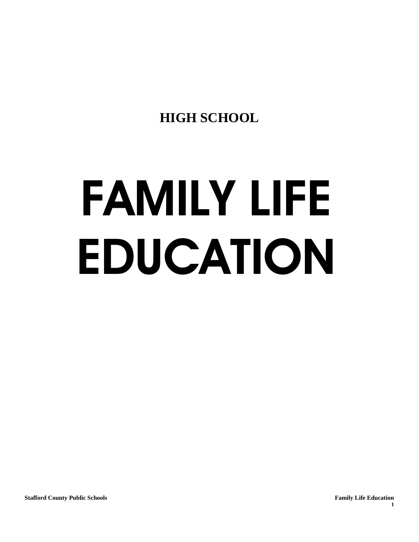**HIGH SCHOOL**

# FAMILY LIFE EDUCATION

**1**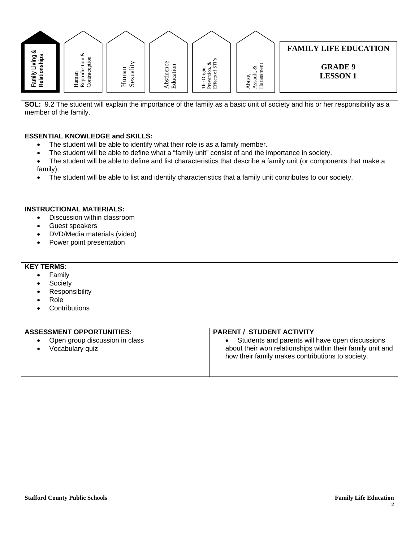

**SOL:** 9.2 The student will explain the importance of the family as a basic unit of society and his or her responsibility as a member of the family.

### **ESSENTIAL KNOWLEDGE and SKILLS:**

- The student will be able to identify what their role is as a family member.
- The student will be able to define what a "family unit" consist of and the importance in society.
- The student will be able to define and list characteristics that describe a family unit (or components that make a family).
- The student will be able to list and identify characteristics that a family unit contributes to our society.

### **INSTRUCTIONAL MATERIALS:**

- Discussion within classroom
- Guest speakers
- DVD/Media materials (video)
- Power point presentation

- Family
- **Society**
- **Responsibility**
- Role
- **Contributions**

| <b>ASSESSMENT OPPORTUNITIES:</b>                  | <b>PARENT / STUDENT ACTIVITY</b>                                                                                                                                  |
|---------------------------------------------------|-------------------------------------------------------------------------------------------------------------------------------------------------------------------|
| Open group discussion in class<br>Vocabulary quiz | Students and parents will have open discussions<br>about their won relationships within their family unit and<br>how their family makes contributions to society. |
|                                                   |                                                                                                                                                                   |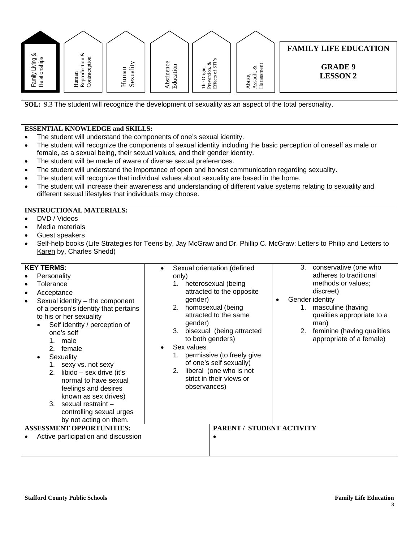| Family Living &<br>Relationships                                                                                                                                                                                                           | Reproduction $\&$ Contraception<br>Human                                                                                                                                                                                                                                                                                                                                                                                                        | Sexuality<br>Human | Abstinence<br>Education                            | The Origin,<br>Prevention, &<br>Effects of STI's                                                                                                                                                                                                                                                                                           | $\begin{array}{c} \text{Assault, } \& \\ \text{Harasment} \end{array}$<br>Abuse,         | <b>FAMILY LIFE EDUCATION</b><br><b>GRADE 9</b><br><b>LESSON 2</b>                                                                                                                                                                                                                                                                                                                                                                                    |
|--------------------------------------------------------------------------------------------------------------------------------------------------------------------------------------------------------------------------------------------|-------------------------------------------------------------------------------------------------------------------------------------------------------------------------------------------------------------------------------------------------------------------------------------------------------------------------------------------------------------------------------------------------------------------------------------------------|--------------------|----------------------------------------------------|--------------------------------------------------------------------------------------------------------------------------------------------------------------------------------------------------------------------------------------------------------------------------------------------------------------------------------------------|------------------------------------------------------------------------------------------|------------------------------------------------------------------------------------------------------------------------------------------------------------------------------------------------------------------------------------------------------------------------------------------------------------------------------------------------------------------------------------------------------------------------------------------------------|
| $\bullet$<br>$\bullet$<br>$\bullet$<br>$\bullet$<br>$\bullet$<br>$\bullet$                                                                                                                                                                 | <b>ESSENTIAL KNOWLEDGE and SKILLS:</b><br>different sexual lifestyles that individuals may choose.                                                                                                                                                                                                                                                                                                                                              |                    |                                                    | The student will understand the components of one's sexual identity.<br>female, as a sexual being, their sexual values, and their gender identity.<br>The student will be made of aware of diverse sexual preferences.                                                                                                                     | The student will recognize that individual values about sexuality are based in the home. | SOL: 9.3 The student will recognize the development of sexuality as an aspect of the total personality.<br>The student will recognize the components of sexual identity including the basic perception of oneself as male or<br>The student will understand the importance of open and honest communication regarding sexuality.<br>The student will increase their awareness and understanding of different value systems relating to sexuality and |
| DVD / Videos<br>$\bullet$<br>Media materials<br>$\bullet$<br>Guest speakers<br>$\bullet$<br>$\bullet$<br><b>KEY TERMS:</b><br>Personality<br>Tolerance<br>$\bullet$<br>Acceptance<br>$\bullet$<br>$\bullet$<br>1.<br>2.<br>Sexuality<br>3. | <b>INSTRUCTIONAL MATERIALS:</b><br>Karen by, Charles Shedd)<br>Sexual identity - the component<br>of a person's identity that pertains<br>to his or her sexuality<br>Self identity / perception of<br>one's self<br>male<br>female<br>1. sexy vs. not sexy<br>2. libido $-$ sex drive (it's<br>normal to have sexual<br>feelings and desires<br>known as sex drives)<br>sexual restraint-<br>controlling sexual urges<br>by not acting on them. |                    | $\bullet$<br>only)<br>1.<br>3.<br>Sex values<br>1. | Sexual orientation (defined<br>heterosexual (being<br>attracted to the opposite<br>gender)<br>2. homosexual (being<br>attracted to the same<br>gender)<br>bisexual (being attracted<br>to both genders)<br>permissive (to freely give<br>of one's self sexually)<br>2. liberal (one who is not<br>strict in their views or<br>observances) |                                                                                          | Self-help books (Life Strategies for Teens by, Jay McGraw and Dr. Phillip C. McGraw: Letters to Philip and Letters to<br>3.<br>conservative (one who<br>adheres to traditional<br>methods or values;<br>discreet)<br>Gender identity<br>1. masculine (having<br>qualities appropriate to a<br>man)<br>2.<br>feminine (having qualities<br>appropriate of a female)                                                                                   |
|                                                                                                                                                                                                                                            | <b>ASSESSMENT OPPORTUNITIES:</b><br>Active participation and discussion                                                                                                                                                                                                                                                                                                                                                                         |                    |                                                    | $\bullet$                                                                                                                                                                                                                                                                                                                                  | PARENT / STUDENT ACTIVITY                                                                |                                                                                                                                                                                                                                                                                                                                                                                                                                                      |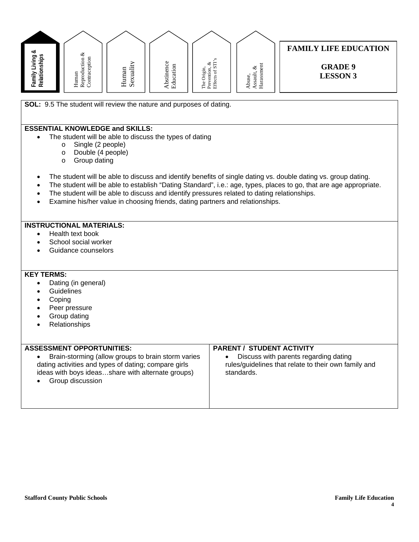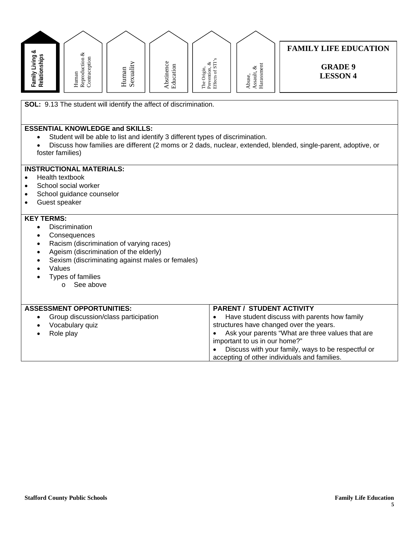| ∝                            | ళ                                          |                                    |                                     |                                                          |                                              | <b>FAMILY LIFE EDUCATION</b>      |
|------------------------------|--------------------------------------------|------------------------------------|-------------------------------------|----------------------------------------------------------|----------------------------------------------|-----------------------------------|
| Sq<br>≔<br>ট<br>Relatio<br>ਛ | ٠<br>.<br>Ħ,<br>ದ<br>Huma<br>Rept<br>Conta | $\cdot$ $-$<br>an<br>ನ<br>Hum<br>Ŝ | ω<br>ပ<br>됴<br>Ē<br>bstin<br>ಡ<br>m | S<br>త ⊑<br>∴ ແ<br>ia a<br>. <u>19</u><br>Ċ<br>로 한<br>도움 | ◡<br>ヨ<br>use<br>ಹ<br>ದ<br>Ë<br>š.<br>م<br>≺ | <b>GRADE 9</b><br><b>LESSON 4</b> |

**SOL:** 9.13 The student will identify the affect of discrimination.

# **ESSENTIAL KNOWLEDGE and SKILLS:**

- Student will be able to list and identify 3 different types of discrimination.
- Discuss how families are different (2 moms or 2 dads, nuclear, extended, blended, single-parent, adoptive, or foster families)

#### **INSTRUCTIONAL MATERIALS:**

- Health textbook
- School social worker
- School guidance counselor
- Guest speaker

- Discrimination
- Consequences
- Racism (discrimination of varying races)
- Ageism (discrimination of the elderly)
- Sexism (discriminating against males or females)
- Values
- Types of families
	- o See above

| <b>ASSESSMENT OPPORTUNITIES:</b>     | <b>PARENT / STUDENT ACTIVITY</b>                   |
|--------------------------------------|----------------------------------------------------|
| Group discussion/class participation | Have student discuss with parents how family       |
| Vocabulary quiz                      | structures have changed over the years.            |
| Role play                            | Ask your parents "What are three values that are   |
|                                      | important to us in our home?"                      |
|                                      | Discuss with your family, ways to be respectful or |
|                                      | accepting of other individuals and families.       |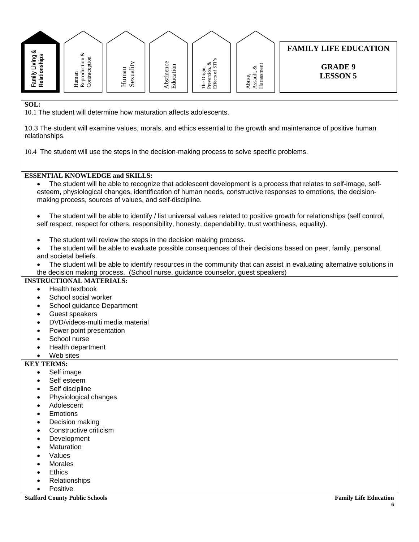

10.1 The student will determine how maturation affects adolescents.

10.3 The student will examine values, morals, and ethics essential to the growth and maintenance of positive human relationships.

10.4 The student will use the steps in the decision-making process to solve specific problems.

#### **ESSENTIAL KNOWLEDGE and SKILLS:**

• The student will be able to recognize that adolescent development is a process that relates to self-image, selfesteem, physiological changes, identification of human needs, constructive responses to emotions, the decisionmaking process, sources of values, and self-discipline.

#### • The student will be able to identify / list universal values related to positive growth for relationships (self control, self respect, respect for others, responsibility, honesty, dependability, trust worthiness, equality).

- The student will review the steps in the decision making process.
- The student will be able to evaluate possible consequences of their decisions based on peer, family, personal, and societal beliefs.
- The student will be able to identify resources in the community that can assist in evaluating alternative solutions in the decision making process. (School nurse, guidance counselor, guest speakers)

#### **INSTRUCTIONAL MATERIALS:**

- Health textbook
- School social worker
- School guidance Department
- Guest speakers
- DVD/videos-multi media material
- Power point presentation
- School nurse
- Health department
- Web sites

### **KEY TERMS:**

- Self image
- Self esteem
- Self discipline
- Physiological changes
- **Adolescent**
- **Emotions**
- Decision making
- Constructive criticism
- **Development**
- **Maturation**
- **Values**
- **Morales**
- **Ethics**
- Relationships
- **Positive**

**Stafford County Public Schools Family Life Education Family Life Education Family Life Education**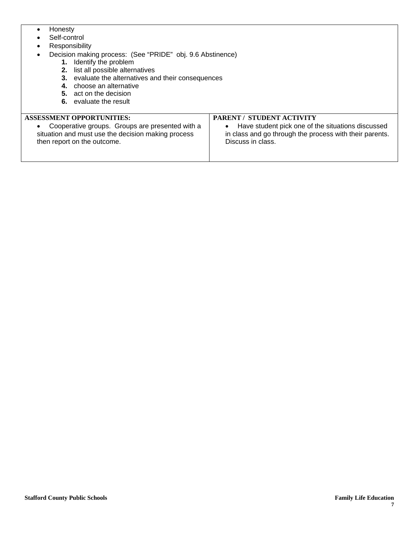- Honesty
- Self-control
- Responsibility
	- Decision making process: (See "PRIDE" obj. 9.6 Abstinence)
		- **1.** Identify the problem
			- **2.** list all possible alternatives
			- **3.** evaluate the alternatives and their consequences
			- **4.** choose an alternative
			- **5.** act on the decision
			- **6.** evaluate the result

**ASSESSMENT OPPORTUNITIES:** 

#### **PARENT / STUDENT ACTIVITY**

• Cooperative groups. Groups are presented with a situation and must use the decision making process then report on the outcome.

• Have student pick one of the situations discussed in class and go through the process with their parents. Discuss in class.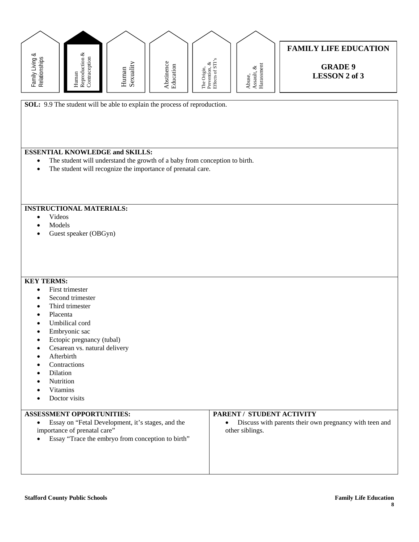

**SOL:** 9.9 The student will be able to explain the process of reproduction.

# **ESSENTIAL KNOWLEDGE and SKILLS:**

- The student will understand the growth of a baby from conception to birth.
- The student will recognize the importance of prenatal care.

#### **INSTRUCTIONAL MATERIALS:**

- Videos
- Models
- Guest speaker (OBGyn)

#### **KEY TERMS:**

- First trimester
- Second trimester
- Third trimester
- Placenta
- Umbilical cord
- Embryonic sac
- Ectopic pregnancy (tubal)
- Cesarean vs. natural delivery
- **Afterbirth**
- **Contractions**
- Dilation
- **Nutrition**
- Vitamins
- Doctor visits

# **ASSESSMENT OPPORTUNITIES:**

- Essay on "Fetal Development, it's stages, and the importance of prenatal care"
- Essay "Trace the embryo from conception to birth"

#### **PARENT / STUDENT ACTIVITY**

• Discuss with parents their own pregnancy with teen and other siblings.

**Stafford County Public Schools Family Life Education**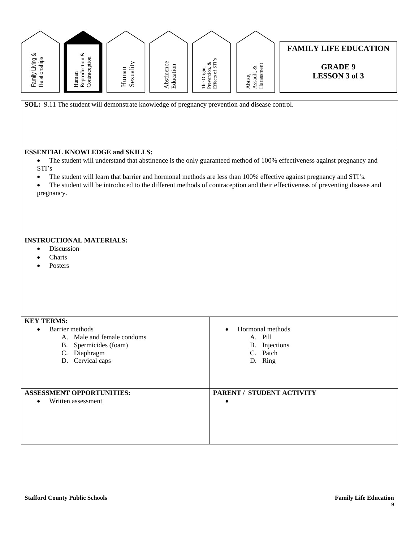| Family Living &<br>Relationships                           | Reproduction &<br>Contraception<br>Human                                                                   | Sexuality<br>Human | Abstinence<br>Education | The Origin,<br>Prevention, &<br>Effects of STI's | ${\bf Assault}, \, \&\\ {\bf Harassment}$<br>Abuse,                 | <b>FAMILY LIFE EDUCATION</b><br><b>GRADE 9</b><br><b>LESSON 3 of 3</b>                                                                                                                                                                                                                                                                                                    |
|------------------------------------------------------------|------------------------------------------------------------------------------------------------------------|--------------------|-------------------------|--------------------------------------------------|---------------------------------------------------------------------|---------------------------------------------------------------------------------------------------------------------------------------------------------------------------------------------------------------------------------------------------------------------------------------------------------------------------------------------------------------------------|
|                                                            | SOL: 9.11 The student will demonstrate knowledge of pregnancy prevention and disease control.              |                    |                         |                                                  |                                                                     |                                                                                                                                                                                                                                                                                                                                                                           |
| $\bullet$<br>STI's<br>$\bullet$<br>$\bullet$<br>pregnancy. | <b>ESSENTIAL KNOWLEDGE and SKILLS:</b>                                                                     |                    |                         |                                                  |                                                                     | The student will understand that abstinence is the only guaranteed method of 100% effectiveness against pregnancy and<br>The student will learn that barrier and hormonal methods are less than 100% effective against pregnancy and STI's.<br>The student will be introduced to the different methods of contraception and their effectiveness of preventing disease and |
| Discussion<br>Charts<br>Posters                            | <b>INSTRUCTIONAL MATERIALS:</b>                                                                            |                    |                         |                                                  |                                                                     |                                                                                                                                                                                                                                                                                                                                                                           |
| <b>KEY TERMS:</b>                                          | Barrier methods<br>A. Male and female condoms<br>B. Spermicides (foam)<br>C. Diaphragm<br>D. Cervical caps |                    |                         |                                                  | Hormonal methods<br>A. Pill<br>B. Injections<br>C. Patch<br>D. Ring |                                                                                                                                                                                                                                                                                                                                                                           |
| $\bullet$                                                  | <b>ASSESSMENT OPPORTUNITIES:</b><br>Written assessment                                                     |                    |                         |                                                  | PARENT / STUDENT ACTIVITY                                           |                                                                                                                                                                                                                                                                                                                                                                           |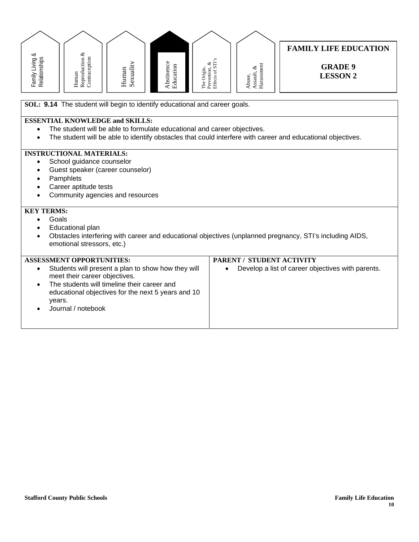

- School guidance counselor
- Guest speaker (career counselor)
- **Pamphlets**
- Career aptitude tests
- Community agencies and resources

- Goals
- Educational plan
- Obstacles interfering with career and educational objectives (unplanned pregnancy, STI's including AIDS, emotional stressors, etc.)

| <b>ASSESSMENT OPPORTUNITIES:</b>                                                                            | <b>PARENT / STUDENT ACTIVITY</b>                               |
|-------------------------------------------------------------------------------------------------------------|----------------------------------------------------------------|
| Students will present a plan to show how they will<br>meet their career objectives.                         | Develop a list of career objectives with parents.<br>$\bullet$ |
| The students will timeline their career and<br>educational objectives for the next 5 years and 10<br>years. |                                                                |
| Journal / notebook                                                                                          |                                                                |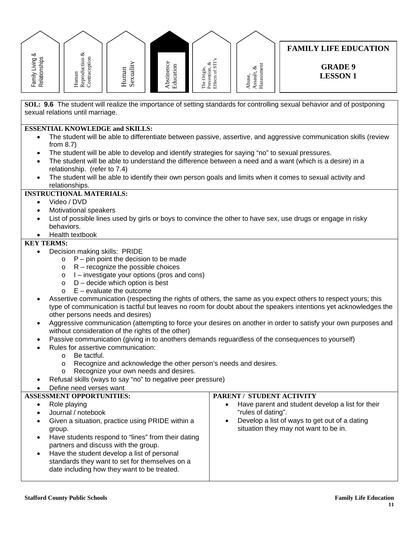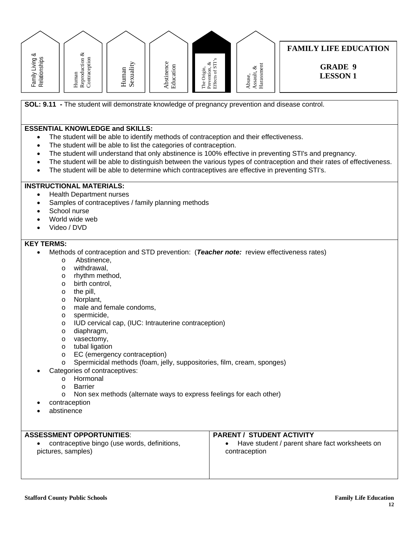

**SOL: 9.11 -** The student will demonstrate knowledge of pregnancy prevention and disease control.

#### **ESSENTIAL KNOWLEDGE and SKILLS:**

- The student will be able to identify methods of contraception and their effectiveness.
- The student will be able to list the categories of contraception.
- The student will understand that only abstinence is 100% effective in preventing STI's and pregnancy.
- The student will be able to distinguish between the various types of contraception and their rates of effectiveness.
- The student will be able to determine which contraceptives are effective in preventing STI's.

## **INSTRUCTIONAL MATERIALS:**

- Health Department nurses
- Samples of contraceptives / family planning methods
- School nurse
- World wide web
- Video / DVD

- Methods of contraception and STD prevention: (*Teacher note:* review effectiveness rates)
	- o Abstinence,
	- o withdrawal,
	- o rhythm method,
	- o birth control,
	- o the pill,
	- o Norplant,
	- o male and female condoms,
	- o spermicide,
	- o IUD cervical cap, (IUC: Intrauterine contraception)
	- o diaphragm,
	- o vasectomy,
	- o tubal ligation
	- o EC (emergency contraception)
	- o Spermicidal methods (foam, jelly, suppositories, film, cream, sponges)
	- Categories of contraceptives:
		- o Hormonal
		- o Barrier
		- o Non sex methods (alternate ways to express feelings for each other)
- contraception
- abstinence

| <b>ASSESSMENT OPPORTUNITIES:</b>                                   | <b>PARENT / STUDENT ACTIVITY</b>                                |
|--------------------------------------------------------------------|-----------------------------------------------------------------|
| contraceptive bingo (use words, definitions,<br>pictures, samples) | Have student / parent share fact worksheets on<br>contraception |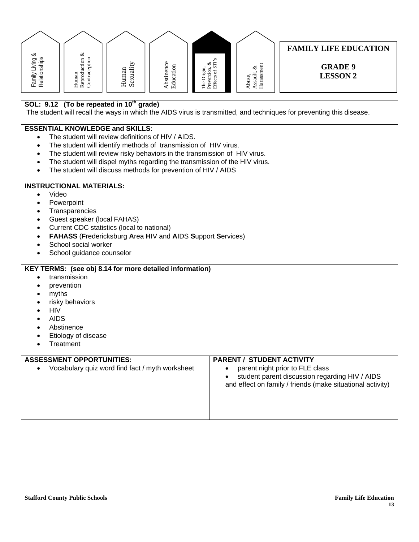| Family Living &<br>Relationships   | Reproduction $\&$ Contraception<br>Human                                                                                                                                                                                                                                                                                                                                                    | Sexuality<br>Human | Abstinence<br>Education | Effects of STI's<br>ళ<br>Prevention,<br>The Origin, | Harassment<br>Assault, $\&$<br>Abuse, | <b>FAMILY LIFE EDUCATION</b><br><b>GRADE 9</b><br><b>LESSON 2</b>                                                                               |
|------------------------------------|---------------------------------------------------------------------------------------------------------------------------------------------------------------------------------------------------------------------------------------------------------------------------------------------------------------------------------------------------------------------------------------------|--------------------|-------------------------|-----------------------------------------------------|---------------------------------------|-------------------------------------------------------------------------------------------------------------------------------------------------|
|                                    | SOL: 9.12 (To be repeated in 10 <sup>th</sup> grade)                                                                                                                                                                                                                                                                                                                                        |                    |                         |                                                     |                                       | The student will recall the ways in which the AIDS virus is transmitted, and techniques for preventing this disease.                            |
|                                    | <b>ESSENTIAL KNOWLEDGE and SKILLS:</b><br>The student will review definitions of HIV / AIDS.<br>The student will identify methods of transmission of HIV virus.<br>The student will review risky behaviors in the transmission of HIV virus.<br>The student will dispel myths regarding the transmission of the HIV virus.<br>The student will discuss methods for prevention of HIV / AIDS |                    |                         |                                                     |                                       |                                                                                                                                                 |
| Video<br>$\bullet$                 | <b>INSTRUCTIONAL MATERIALS:</b><br>Powerpoint<br>Transparencies<br>Guest speaker (local FAHAS)<br>Current CDC statistics (local to national)<br><b>FAHASS (Fredericksburg Area HIV and AIDS Support Services)</b><br>School social worker<br>School guidance counselor                                                                                                                      |                    |                         |                                                     |                                       |                                                                                                                                                 |
| myths<br><b>HIV</b><br><b>AIDS</b> | KEY TERMS: (see obj 8.14 for more detailed information)<br>transmission<br>prevention<br>risky behaviors<br>Abstinence<br>Etiology of disease<br>Treatment                                                                                                                                                                                                                                  |                    |                         |                                                     |                                       |                                                                                                                                                 |
|                                    | <b>ASSESSMENT OPPORTUNITIES:</b><br>Vocabulary quiz word find fact / myth worksheet                                                                                                                                                                                                                                                                                                         |                    |                         |                                                     | <b>PARENT / STUDENT ACTIVITY</b>      | parent night prior to FLE class<br>student parent discussion regarding HIV / AIDS<br>and effect on family / friends (make situational activity) |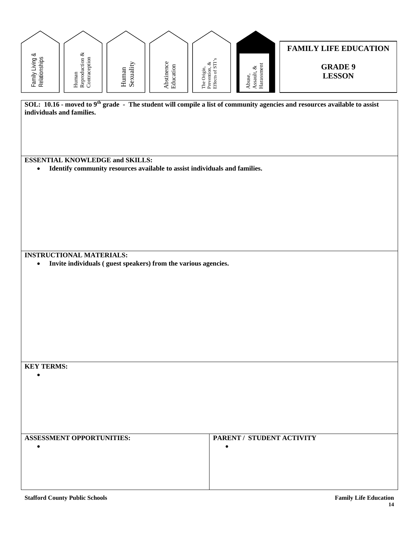| Family Living &<br>Relationships | ${\bf Reproduction\,\,} \&\\ {\bf Contraction}$<br>Human | Sexuality<br>Human | Abstinence<br>Education                                                    | The Origin,<br>Prevention, &<br>Effects of STI's | $\begin{array}{l} \text{Assault, } \& \\ \text{Harasment} \end{array}$<br>Abuse, | <b>FAMILY LIFE EDUCATION</b><br><b>GRADE 9</b><br><b>LESSON</b>                                                                       |
|----------------------------------|----------------------------------------------------------|--------------------|----------------------------------------------------------------------------|--------------------------------------------------|----------------------------------------------------------------------------------|---------------------------------------------------------------------------------------------------------------------------------------|
| individuals and families.        |                                                          |                    |                                                                            |                                                  |                                                                                  | SOL: 10.16 - moved to 9 <sup>th</sup> grade - The student will compile a list of community agencies and resources available to assist |
|                                  | <b>ESSENTIAL KNOWLEDGE and SKILLS:</b>                   |                    |                                                                            |                                                  |                                                                                  |                                                                                                                                       |
| $\bullet$                        |                                                          |                    | Identify community resources available to assist individuals and families. |                                                  |                                                                                  |                                                                                                                                       |
|                                  |                                                          |                    |                                                                            |                                                  |                                                                                  |                                                                                                                                       |
| $\bullet$                        | <b>INSTRUCTIONAL MATERIALS:</b>                          |                    | Invite individuals (guest speakers) from the various agencies.             |                                                  |                                                                                  |                                                                                                                                       |
|                                  |                                                          |                    |                                                                            |                                                  |                                                                                  |                                                                                                                                       |
|                                  |                                                          |                    |                                                                            |                                                  |                                                                                  |                                                                                                                                       |
| <b>KEY TERMS:</b><br>$\bullet$   |                                                          |                    |                                                                            |                                                  |                                                                                  |                                                                                                                                       |
|                                  |                                                          |                    |                                                                            |                                                  |                                                                                  |                                                                                                                                       |
| $\bullet$                        | <b>ASSESSMENT OPPORTUNITIES:</b>                         |                    |                                                                            | $\bullet$                                        | PARENT / STUDENT ACTIVITY                                                        |                                                                                                                                       |
|                                  |                                                          |                    |                                                                            |                                                  |                                                                                  |                                                                                                                                       |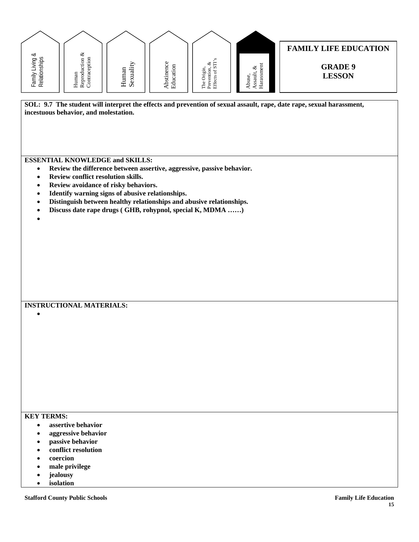| SOL: 9.7 The student will interpret the effects and prevention of sexual assault, rape, date rape, sexual harassment,<br>incestuous behavior, and molestation. | Reproduction &<br>∞<br>Contraception<br>Relationships<br>Family Living<br>Human | Abstinence<br>Sexuality<br>Education<br>Human | Prevention, $\&$ Effects of STI's<br>Harassment<br>ళ<br>The Origin,<br>Assault,<br>Abuse | <b>FAMILY LIFE EDUCATION</b><br><b>GRADE 9</b><br><b>LESSON</b> |
|----------------------------------------------------------------------------------------------------------------------------------------------------------------|---------------------------------------------------------------------------------|-----------------------------------------------|------------------------------------------------------------------------------------------|-----------------------------------------------------------------|
|                                                                                                                                                                |                                                                                 |                                               |                                                                                          |                                                                 |

- **Review conflict resolution skills.**
- **Review avoidance of risky behaviors.**
- **Identify warning signs of abusive relationships.**
- **Distinguish between healthy relationships and abusive relationships.**
- **Discuss date rape drugs ( GHB, rohypnol, special K, MDMA ……)**
- •

•

# **INSTRUCTIONAL MATERIALS:**

#### **KEY TERMS:**

- **assertive behavior**
- **aggressive behavior**
- **passive behavior**
- **conflict resolution**
- **coercion**
- **male privilege**
- **jealousy**
- **isolation**

**Stafford County Public Schools Family Life Education**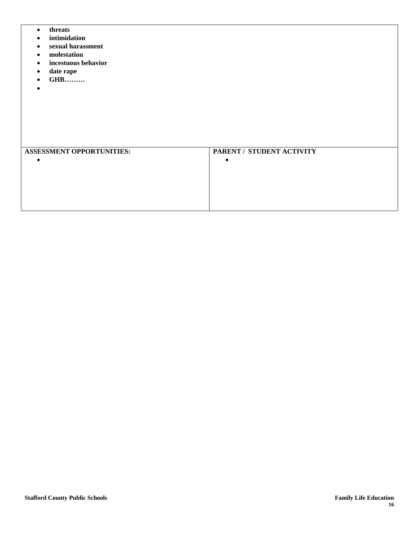- **threats**
- **intimidation**
- **sexual harassment**
- **molestation**
- **incestuous behavior**
- **date rape**
- **GHB………**
- •

| <b>ASSESSMENT OPPORTUNITIES:</b> | PARENT / STUDENT ACTIVITY |
|----------------------------------|---------------------------|
|                                  |                           |
|                                  |                           |
|                                  |                           |
|                                  |                           |
|                                  |                           |
|                                  |                           |
|                                  |                           |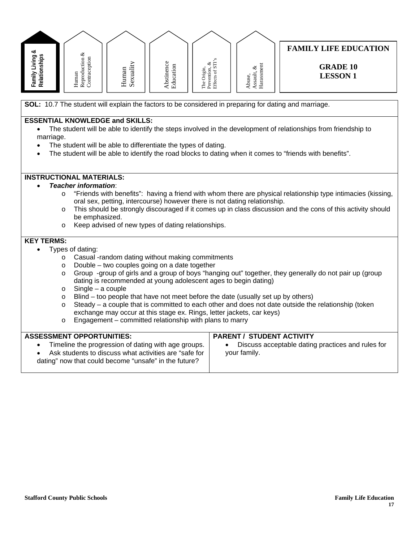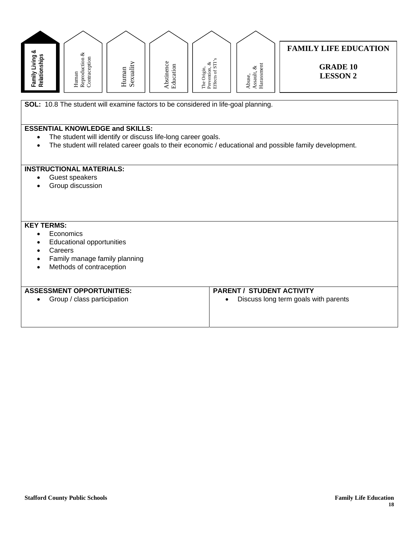| Family Living &<br>Relationships | Reproduction $\&$ Contraception<br>Human                                                                                                                                                     | Sexuality<br>Human | Abstinence<br>Education | The Origin,<br>Prevention, &<br>Effects of STI's | ${\bf Assault}, \, \&\\ {\bf Harassment}$<br>Abuse, | <b>FAMILY LIFE EDUCATION</b><br><b>GRADE 10</b><br><b>LESSON 2</b>                                     |
|----------------------------------|----------------------------------------------------------------------------------------------------------------------------------------------------------------------------------------------|--------------------|-------------------------|--------------------------------------------------|-----------------------------------------------------|--------------------------------------------------------------------------------------------------------|
|                                  | SOL: 10.8 The student will examine factors to be considered in life-goal planning.<br><b>ESSENTIAL KNOWLEDGE and SKILLS:</b><br>The student will identify or discuss life-long career goals. |                    |                         |                                                  |                                                     | The student will related career goals to their economic / educational and possible family development. |
|                                  | <b>INSTRUCTIONAL MATERIALS:</b><br>Guest speakers<br>Group discussion                                                                                                                        |                    |                         |                                                  |                                                     |                                                                                                        |
| <b>KEY TERMS:</b>                | Economics<br><b>Educational opportunities</b><br>Careers<br>Family manage family planning<br>Methods of contraception                                                                        |                    |                         |                                                  |                                                     |                                                                                                        |
|                                  | <b>ASSESSMENT OPPORTUNITIES:</b><br>Group / class participation                                                                                                                              |                    |                         |                                                  | <b>PARENT / STUDENT ACTIVITY</b>                    | Discuss long term goals with parents                                                                   |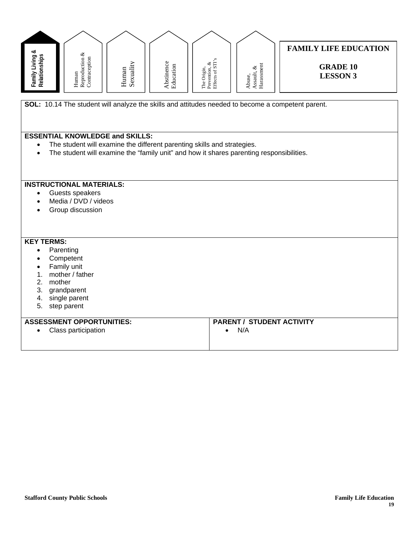| Family Living &<br>Relationships                                                                                                                                                                            | Reproduction $\&$ Contraception<br>Human                                                                                                                                                                      | Sexuality<br>Human | Abstinence<br>Education | The Origin,<br>Prevention, &<br>Effects of STI's | ${\bf Assault}, \, \&\\ {\bf Harassment}$<br>Abuse, | <b>FAMILY LIFE EDUCATION</b><br><b>GRADE 10</b><br><b>LESSON 3</b> |  |  |  |  |  |
|-------------------------------------------------------------------------------------------------------------------------------------------------------------------------------------------------------------|---------------------------------------------------------------------------------------------------------------------------------------------------------------------------------------------------------------|--------------------|-------------------------|--------------------------------------------------|-----------------------------------------------------|--------------------------------------------------------------------|--|--|--|--|--|
|                                                                                                                                                                                                             | SOL: 10.14 The student will analyze the skills and attitudes needed to become a competent parent.                                                                                                             |                    |                         |                                                  |                                                     |                                                                    |  |  |  |  |  |
| $\bullet$                                                                                                                                                                                                   | <b>ESSENTIAL KNOWLEDGE and SKILLS:</b><br>The student will examine the different parenting skills and strategies.<br>The student will examine the "family unit" and how it shares parenting responsibilities. |                    |                         |                                                  |                                                     |                                                                    |  |  |  |  |  |
| $\bullet$                                                                                                                                                                                                   | <b>INSTRUCTIONAL MATERIALS:</b><br>Guests speakers<br>Media / DVD / videos<br>Group discussion                                                                                                                |                    |                         |                                                  |                                                     |                                                                    |  |  |  |  |  |
| <b>KEY TERMS:</b><br>Parenting<br>$\bullet$<br>Competent<br>$\bullet$<br>Family unit<br>$\bullet$<br>mother / father<br>1.<br>mother<br>2.<br>3.<br>grandparent<br>single parent<br>4.<br>5.<br>step parent |                                                                                                                                                                                                               |                    |                         |                                                  |                                                     |                                                                    |  |  |  |  |  |
|                                                                                                                                                                                                             | <b>ASSESSMENT OPPORTUNITIES:</b><br>Class participation                                                                                                                                                       |                    |                         | $\bullet$                                        | <b>PARENT / STUDENT ACTIVITY</b><br>N/A             |                                                                    |  |  |  |  |  |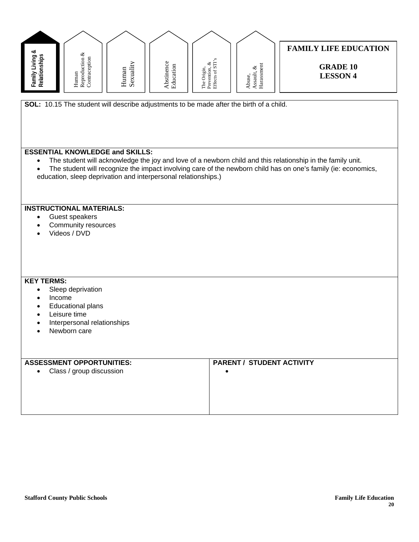| Family Living &<br>Relationships | ${\bf Reproduction\,\,} \&\\ {\bf Contraception}$<br>Human                                                             | Sexuality<br>Human | Abstinence<br>Education | The Origin,<br>Prevention, &<br>Effects of STI's | ${\bf Assault}, \, \&\\ {\bf Harassment}$<br>Abuse, | <b>FAMILY LIFE EDUCATION</b><br><b>GRADE 10</b><br><b>LESSON 4</b>                                                                                                                                                          |
|----------------------------------|------------------------------------------------------------------------------------------------------------------------|--------------------|-------------------------|--------------------------------------------------|-----------------------------------------------------|-----------------------------------------------------------------------------------------------------------------------------------------------------------------------------------------------------------------------------|
|                                  |                                                                                                                        |                    |                         |                                                  |                                                     |                                                                                                                                                                                                                             |
|                                  | SOL: 10.15 The student will describe adjustments to be made after the birth of a child.                                |                    |                         |                                                  |                                                     |                                                                                                                                                                                                                             |
|                                  | <b>ESSENTIAL KNOWLEDGE and SKILLS:</b><br>education, sleep deprivation and interpersonal relationships.)               |                    |                         |                                                  |                                                     | The student will acknowledge the joy and love of a newborn child and this relationship in the family unit.<br>The student will recognize the impact involving care of the newborn child has on one's family (ie: economics, |
|                                  | <b>INSTRUCTIONAL MATERIALS:</b><br>Guest speakers<br>Community resources<br>Videos / DVD                               |                    |                         |                                                  |                                                     |                                                                                                                                                                                                                             |
| <b>KEY TERMS:</b><br>$\bullet$   | Sleep deprivation<br>Income<br><b>Educational plans</b><br>Leisure time<br>Interpersonal relationships<br>Newborn care |                    |                         |                                                  |                                                     |                                                                                                                                                                                                                             |
|                                  | <b>ASSESSMENT OPPORTUNITIES:</b><br>Class / group discussion                                                           |                    |                         |                                                  | <b>PARENT / STUDENT ACTIVITY</b>                    |                                                                                                                                                                                                                             |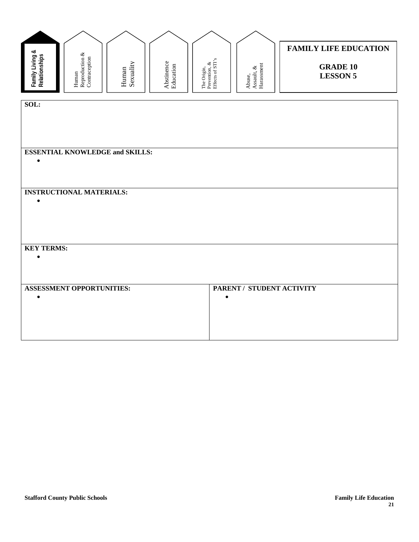| Family Living &<br>Relationships | Reproduction &<br>Contraception<br>Human | Sexuality<br>Human | Abstinence<br>Education | The Origin,<br>Prevention, &<br>Effects of STI's | Harassment<br>Assault, $\&$<br>Abuse, | <b>FAMILY LIFE EDUCATION</b><br><b>GRADE 10</b><br><b>LESSON 5</b> |  |  |  |  |
|----------------------------------|------------------------------------------|--------------------|-------------------------|--------------------------------------------------|---------------------------------------|--------------------------------------------------------------------|--|--|--|--|
| SOL:                             |                                          |                    |                         |                                                  |                                       |                                                                    |  |  |  |  |
| $\bullet$                        | <b>ESSENTIAL KNOWLEDGE and SKILLS:</b>   |                    |                         |                                                  |                                       |                                                                    |  |  |  |  |
| $\bullet$                        | <b>INSTRUCTIONAL MATERIALS:</b>          |                    |                         |                                                  |                                       |                                                                    |  |  |  |  |
| <b>KEY TERMS:</b><br>$\bullet$   |                                          |                    |                         |                                                  |                                       |                                                                    |  |  |  |  |
| $\bullet$                        | <b>ASSESSMENT OPPORTUNITIES:</b>         |                    |                         | $\bullet$                                        | PARENT / STUDENT ACTIVITY             |                                                                    |  |  |  |  |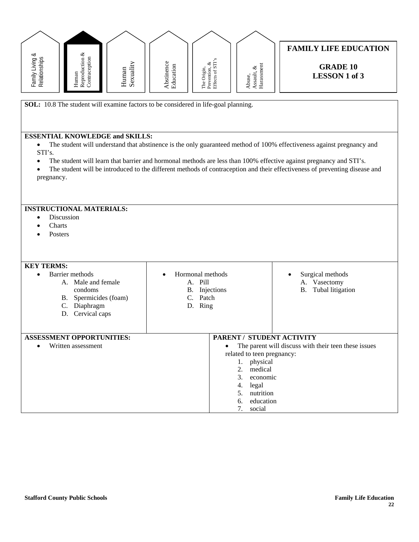

**SOL:** 10.8 The student will examine factors to be considered in life-goal planning.

#### **ESSENTIAL KNOWLEDGE and SKILLS:**

• The student will understand that abstinence is the only guaranteed method of 100% effectiveness against pregnancy and STI's.

• The student will learn that barrier and hormonal methods are less than 100% effective against pregnancy and STI's.

• Hormonal methods A. Pill B. Injections C. Patch D. Ring

• The student will be introduced to the different methods of contraception and their effectiveness of preventing disease and pregnancy.

#### **INSTRUCTIONAL MATERIALS:**

- Discussion
- Charts
- **Posters**

### **KEY TERMS:**

- Barrier methods A. Male and female condoms
	- B. Spermicides (foam)
	- C. Diaphragm
	-
	-
	-
	- D. Cervical caps
- -
- **ASSESSMENT OPPORTUNITIES:**  • Written assessment
	-

A. Vasectomy B. Tubal litigation

• Surgical methods

- **PARENT / STUDENT ACTIVITY**  • The parent will discuss with their teen these issues related to teen pregnancy:
	- 1. physical
		- 2. medical
		- 3. economic
		- 4. legal 5. nutrition
		- 6. education

7. social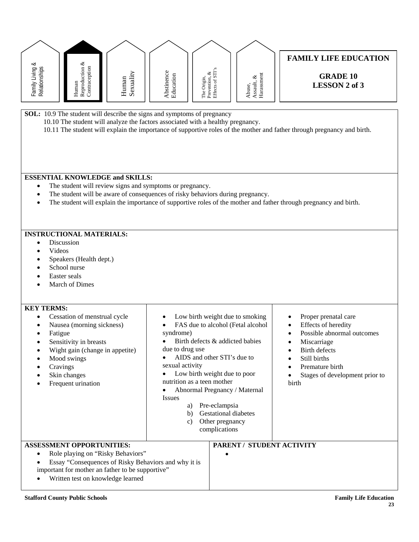| Family Living &<br>Relationships         | Reproduction $\&$ Contraception<br>Human                                                                                                                                                                                                                                                                  | Sexuality<br>Human                                                                    | Abstinence<br>Education                                                                                    | The Origin,<br>Prevention, &<br>Effects of STI's                                                                                                                                                                                                                                               | Harassment<br>Assault, $\&$<br>Abuse, | <b>FAMILY LIFE EDUCATION</b><br><b>GRADE 10</b><br><b>LESSON 2 of 3</b>                                                                                                                 |  |  |  |  |  |
|------------------------------------------|-----------------------------------------------------------------------------------------------------------------------------------------------------------------------------------------------------------------------------------------------------------------------------------------------------------|---------------------------------------------------------------------------------------|------------------------------------------------------------------------------------------------------------|------------------------------------------------------------------------------------------------------------------------------------------------------------------------------------------------------------------------------------------------------------------------------------------------|---------------------------------------|-----------------------------------------------------------------------------------------------------------------------------------------------------------------------------------------|--|--|--|--|--|
|                                          | SOL: 10.9 The student will describe the signs and symptoms of pregnancy<br>10.10 The student will analyze the factors associated with a healthy pregnancy.<br>10.11 The student will explain the importance of supportive roles of the mother and father through pregnancy and birth.                     |                                                                                       |                                                                                                            |                                                                                                                                                                                                                                                                                                |                                       |                                                                                                                                                                                         |  |  |  |  |  |
|                                          | <b>ESSENTIAL KNOWLEDGE and SKILLS:</b><br>The student will review signs and symptoms or pregnancy.<br>The student will be aware of consequences of risky behaviors during pregnancy.<br>The student will explain the importance of supportive roles of the mother and father through pregnancy and birth. |                                                                                       |                                                                                                            |                                                                                                                                                                                                                                                                                                |                                       |                                                                                                                                                                                         |  |  |  |  |  |
|                                          | <b>INSTRUCTIONAL MATERIALS:</b><br>Discussion<br>Videos<br>Speakers (Health dept.)<br>School nurse<br>Easter seals<br>March of Dimes                                                                                                                                                                      |                                                                                       |                                                                                                            |                                                                                                                                                                                                                                                                                                |                                       |                                                                                                                                                                                         |  |  |  |  |  |
| <b>KEY TERMS:</b><br>Fatigue<br>Cravings | Cessation of menstrual cycle<br>Nausea (morning sickness)<br>Sensitivity in breasts<br>Wight gain (change in appetite)<br>Mood swings<br>Skin changes<br>Frequent urination                                                                                                                               |                                                                                       | syndrome)<br>due to drug use<br>sexual activity<br>nutrition as a teen mother<br><b>Issues</b><br>b)<br>C) | Low birth weight due to smoking<br>FAS due to alcohol (Fetal alcohol<br>Birth defects & addicted babies<br>AIDS and other STI's due to<br>Low birth weight due to poor<br>Abnormal Pregnancy / Maternal<br>a) Pre-eclampsia<br><b>Gestational diabetes</b><br>Other pregnancy<br>complications |                                       | Proper prenatal care<br>Effects of heredity<br>Possible abnormal outcomes<br>Miscarriage<br>Birth defects<br>Still births<br>Premature birth<br>Stages of development prior to<br>birth |  |  |  |  |  |
|                                          | <b>ASSESSMENT OPPORTUNITIES:</b><br>Written test on knowledge learned                                                                                                                                                                                                                                     | Role playing on "Risky Behaviors"<br>important for mother an father to be supportive" | Essay "Consequences of Risky Behaviors and why it is                                                       |                                                                                                                                                                                                                                                                                                |                                       | PARENT / STUDENT ACTIVITY                                                                                                                                                               |  |  |  |  |  |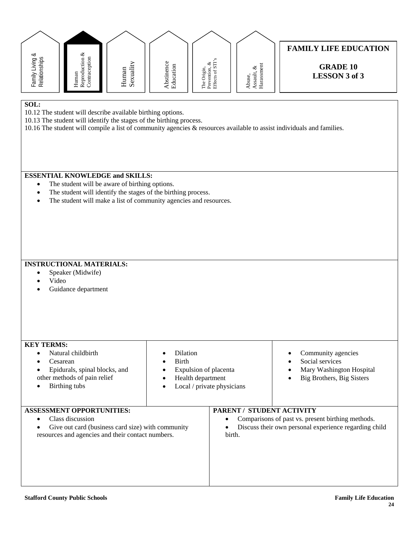| Family Living &<br>Relationships                                                                                                                                                                                                                                       | Reproduction $\&$<br>Contraception<br>Human                                                                                                                                                                                    | Sexuality<br>Human                                                                                     | Abstinence<br>Education  | Prevention, $\&$<br>Effects of STI's<br>The Origin,                      | Assault, $\&$ Harassment<br>Abuse, | <b>FAMILY LIFE EDUCATION</b><br><b>GRADE 10</b><br><b>LESSON 3 of 3</b>                                    |  |  |  |  |
|------------------------------------------------------------------------------------------------------------------------------------------------------------------------------------------------------------------------------------------------------------------------|--------------------------------------------------------------------------------------------------------------------------------------------------------------------------------------------------------------------------------|--------------------------------------------------------------------------------------------------------|--------------------------|--------------------------------------------------------------------------|------------------------------------|------------------------------------------------------------------------------------------------------------|--|--|--|--|
| SOL:<br>10.12 The student will describe available birthing options.<br>10.13 The student will identify the stages of the birthing process.<br>10.16 The student will compile a list of community agencies $\&$ resources available to assist individuals and families. |                                                                                                                                                                                                                                |                                                                                                        |                          |                                                                          |                                    |                                                                                                            |  |  |  |  |
|                                                                                                                                                                                                                                                                        | <b>ESSENTIAL KNOWLEDGE and SKILLS:</b><br>The student will be aware of birthing options.<br>The student will identify the stages of the birthing process.<br>The student will make a list of community agencies and resources. |                                                                                                        |                          |                                                                          |                                    |                                                                                                            |  |  |  |  |
| Video                                                                                                                                                                                                                                                                  | <b>INSTRUCTIONAL MATERIALS:</b><br>Speaker (Midwife)<br>Guidance department                                                                                                                                                    |                                                                                                        |                          |                                                                          |                                    |                                                                                                            |  |  |  |  |
| <b>KEY TERMS:</b><br>Cesarean<br>Birthing tubs                                                                                                                                                                                                                         | Natural childbirth<br>Epidurals, spinal blocks, and<br>other methods of pain relief                                                                                                                                            |                                                                                                        | Dilation<br><b>Birth</b> | Expulsion of placenta<br>Health department<br>Local / private physicians |                                    | Community agencies<br>Social services<br>Mary Washington Hospital<br>Big Brothers, Big Sisters             |  |  |  |  |
| <b>ASSESSMENT OPPORTUNITIES:</b>                                                                                                                                                                                                                                       | Class discussion                                                                                                                                                                                                               | Give out card (business card size) with community<br>resources and agencies and their contact numbers. |                          | birth.                                                                   | <b>PARENT / STUDENT ACTIVITY</b>   | Comparisons of past vs. present birthing methods.<br>Discuss their own personal experience regarding child |  |  |  |  |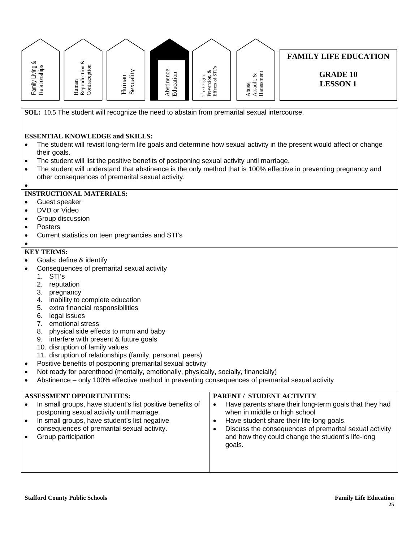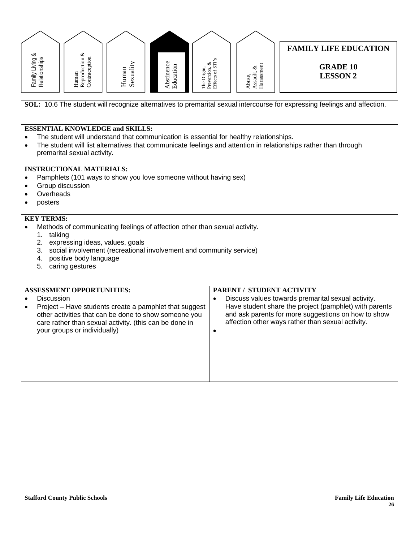|                                                  | Family Living &<br>Relationships                                                                                                                                                                                                                                                       | ${\bf Reproduction\,\,} \&\\ {\bf Contraction}$<br>Human         | Sexuality<br>Human                                                                                                                                                        | Abstinence<br>Education | Prevention, $\&$ Effects of STI's<br>The Origin, | Harassmen<br>Assault, $\&$<br>Abuse,                                                   | <b>FAMILY LIFE EDUCATION</b><br><b>GRADE 10</b><br><b>LESSON 2</b>                                                                                                                                                       |  |  |  |  |
|--------------------------------------------------|----------------------------------------------------------------------------------------------------------------------------------------------------------------------------------------------------------------------------------------------------------------------------------------|------------------------------------------------------------------|---------------------------------------------------------------------------------------------------------------------------------------------------------------------------|-------------------------|--------------------------------------------------|----------------------------------------------------------------------------------------|--------------------------------------------------------------------------------------------------------------------------------------------------------------------------------------------------------------------------|--|--|--|--|
|                                                  | SOL: 10.6 The student will recognize alternatives to premarital sexual intercourse for expressing feelings and affection.                                                                                                                                                              |                                                                  |                                                                                                                                                                           |                         |                                                  |                                                                                        |                                                                                                                                                                                                                          |  |  |  |  |
| $\bullet$<br>$\bullet$                           |                                                                                                                                                                                                                                                                                        | premarital sexual activity.                                      | <b>ESSENTIAL KNOWLEDGE and SKILLS:</b>                                                                                                                                    |                         |                                                  | The student will understand that communication is essential for healthy relationships. | The student will list alternatives that communicate feelings and attention in relationships rather than through                                                                                                          |  |  |  |  |
| $\bullet$<br>$\bullet$<br>$\bullet$<br>$\bullet$ | <b>INSTRUCTIONAL MATERIALS:</b><br>Pamphlets (101 ways to show you love someone without having sex)<br>Group discussion<br>Overheads<br>posters                                                                                                                                        |                                                                  |                                                                                                                                                                           |                         |                                                  |                                                                                        |                                                                                                                                                                                                                          |  |  |  |  |
| $\bullet$                                        | <b>KEY TERMS:</b><br>Methods of communicating feelings of affection other than sexual activity.<br>1. talking<br>2. expressing ideas, values, goals<br>social involvement (recreational involvement and community service)<br>3.<br>positive body language<br>4.<br>5. caring gestures |                                                                  |                                                                                                                                                                           |                         |                                                  |                                                                                        |                                                                                                                                                                                                                          |  |  |  |  |
| $\bullet$<br>$\bullet$                           | <b>Discussion</b>                                                                                                                                                                                                                                                                      | <b>ASSESSMENT OPPORTUNITIES:</b><br>your groups or individually) | Project - Have students create a pamphlet that suggest<br>other activities that can be done to show someone you<br>care rather than sexual activity. (this can be done in |                         | $\bullet$<br>$\bullet$                           | PARENT / STUDENT ACTIVITY                                                              | Discuss values towards premarital sexual activity.<br>Have student share the project (pamphlet) with parents<br>and ask parents for more suggestions on how to show<br>affection other ways rather than sexual activity. |  |  |  |  |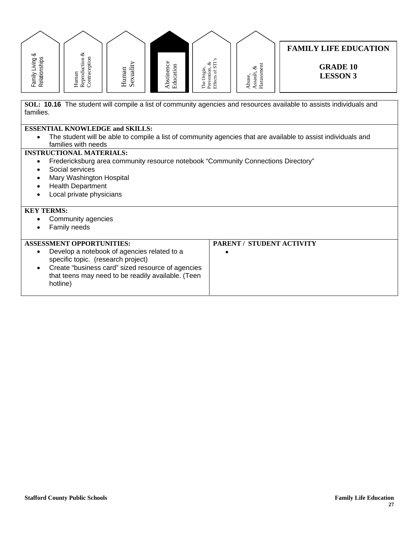

that teens may need to be readily available. (Teen hotline)